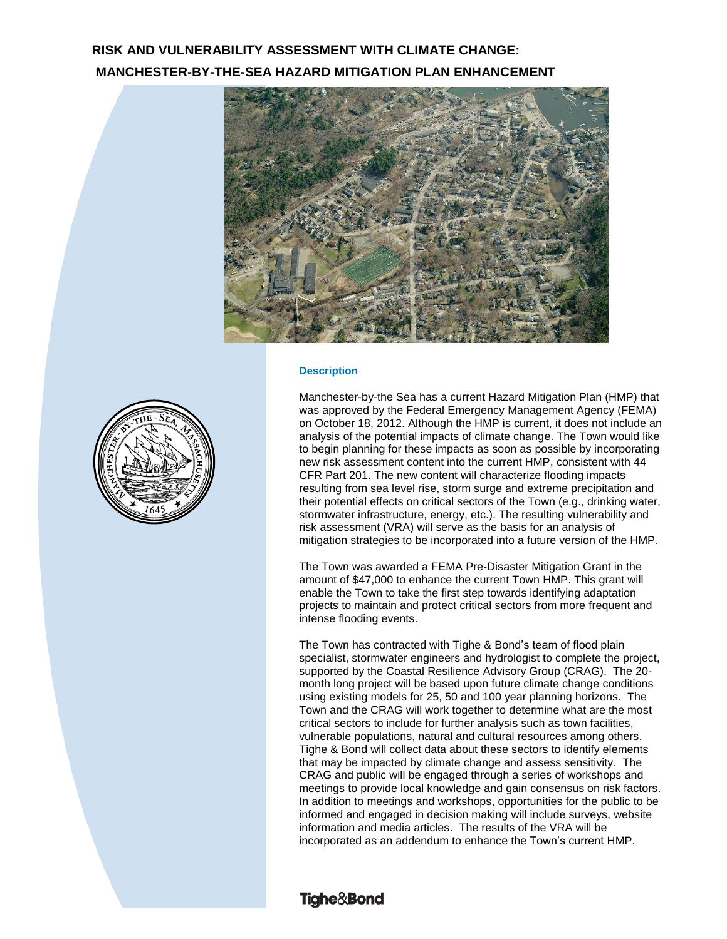# **RISK AND VULNERABILITY ASSESSMENT WITH CLIMATE CHANGE: MANCHESTER-BY-THE-SEA HAZARD MITIGATION PLAN ENHANCEMENT**



#### **Description**

Manchester-by-the Sea has a current Hazard Mitigation Plan (HMP) that was approved by the Federal Emergency Management Agency (FEMA) on October 18, 2012. Although the HMP is current, it does not include an analysis of the potential impacts of climate change. The Town would like to begin planning for these impacts as soon as possible by incorporating new risk assessment content into the current HMP, consistent with 44 CFR Part 201. The new content will characterize flooding impacts resulting from sea level rise, storm surge and extreme precipitation and their potential effects on critical sectors of the Town (e.g., drinking water, stormwater infrastructure, energy, etc.). The resulting vulnerability and risk assessment (VRA) will serve as the basis for an analysis of mitigation strategies to be incorporated into a future version of the HMP.

The Town was awarded a FEMA Pre-Disaster Mitigation Grant in the amount of \$47,000 to enhance the current Town HMP. This grant will enable the Town to take the first step towards identifying adaptation projects to maintain and protect critical sectors from more frequent and intense flooding events.

The Town has contracted with Tighe & Bond's team of flood plain specialist, stormwater engineers and hydrologist to complete the project, supported by the Coastal Resilience Advisory Group (CRAG). The 20 month long project will be based upon future climate change conditions using existing models for 25, 50 and 100 year planning horizons. The Town and the CRAG will work together to determine what are the most critical sectors to include for further analysis such as town facilities, vulnerable populations, natural and cultural resources among others. Tighe & Bond will collect data about these sectors to identify elements that may be impacted by climate change and assess sensitivity. The CRAG and public will be engaged through a series of workshops and meetings to provide local knowledge and gain consensus on risk factors. In addition to meetings and workshops, opportunities for the public to be informed and engaged in decision making will include surveys, website information and media articles. The results of the VRA will be incorporated as an addendum to enhance the Town's current HMP.



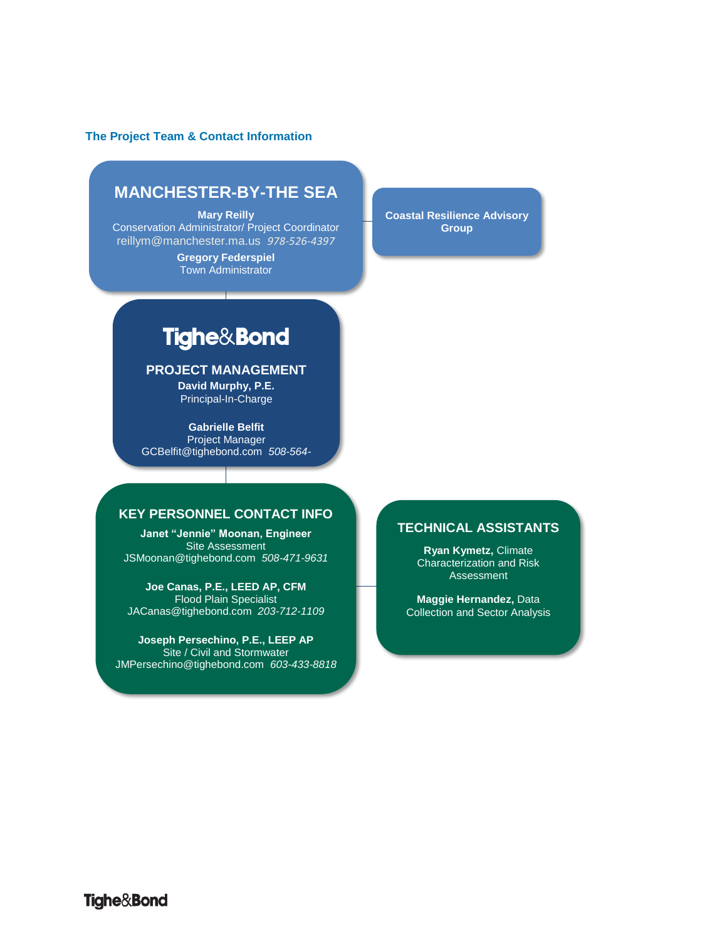#### **The Project Team & Contact Information**

## **MANCHESTER-BY-THE SEA**

**Mary Reilly** Conservation Administrator/ Project Coordinator reillym@manchester.ma.us *978-526-4397*

> **Gregory Federspiel** Town Administrator

**Coastal Resilience Advisory Group**

# Tighe&Bond

#### **PROJECT MANAGEMENT**

**David Murphy, P.E.** Principal-In-Charge

**Gabrielle Belfit** Project Manager GCBelfit@tighebond.com *508-564-*

*7285*

## **KEY PERSONNEL CONTACT INFO**

**Janet "Jennie" Moonan, Engineer Site Assessment** JSMoonan@tighebond.com *508-471-9631* 

**Joe Canas, P.E., LEED AP, CFM** Flood Plain Specialist JACanas@tighebond.com *203-712-1109* 

**Joseph Persechino, P.E., LEEP AP** Site / Civil and Stormwater JMPersechino@tighebond.com *603-433-8818*

## **TECHNICAL ASSISTANTS**

**Ryan Kymetz,** Climate Characterization and Risk Assessment

**Maggie Hernandez,** Data Collection and Sector Analysis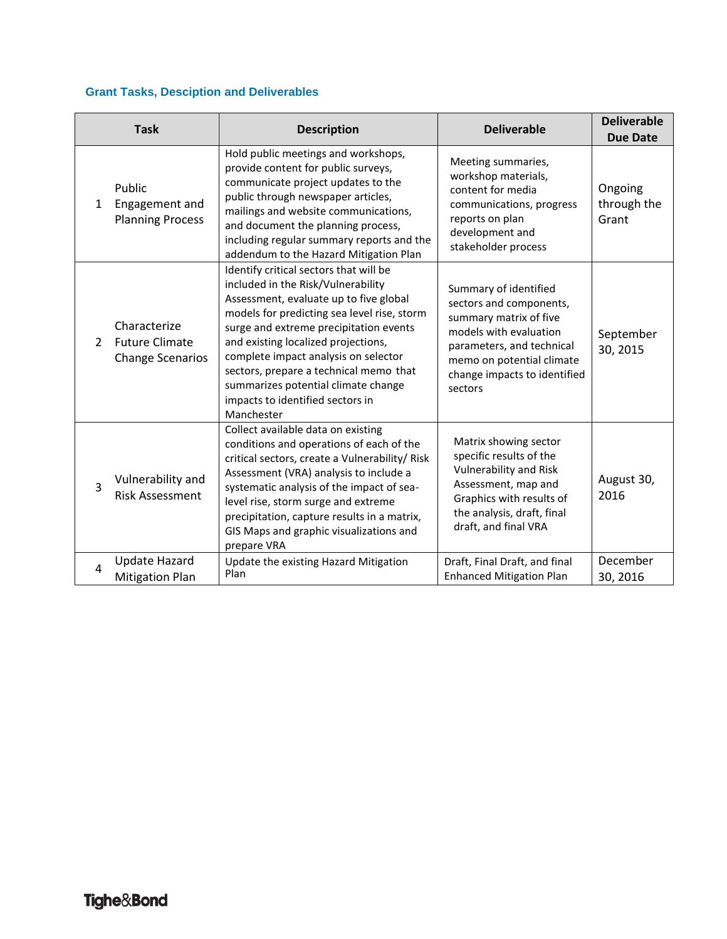## **Grant Tasks, Desciption and Deliverables**

|                | <b>Task</b>                                                      | <b>Description</b>                                                                                                                                                                                                                                                                                                                                                                                                                | <b>Deliverable</b>                                                                                                                                                                                        | <b>Deliverable</b><br><b>Due Date</b> |  |  |
|----------------|------------------------------------------------------------------|-----------------------------------------------------------------------------------------------------------------------------------------------------------------------------------------------------------------------------------------------------------------------------------------------------------------------------------------------------------------------------------------------------------------------------------|-----------------------------------------------------------------------------------------------------------------------------------------------------------------------------------------------------------|---------------------------------------|--|--|
| 1              | Public<br>Engagement and<br><b>Planning Process</b>              | Hold public meetings and workshops,<br>provide content for public surveys,<br>communicate project updates to the<br>public through newspaper articles,<br>mailings and website communications,<br>and document the planning process,<br>including regular summary reports and the<br>addendum to the Hazard Mitigation Plan                                                                                                       | Meeting summaries,<br>workshop materials,<br>content for media<br>communications, progress<br>reports on plan<br>development and<br>stakeholder process                                                   | Ongoing<br>through the<br>Grant       |  |  |
| $\overline{2}$ | Characterize<br><b>Future Climate</b><br><b>Change Scenarios</b> | Identify critical sectors that will be<br>included in the Risk/Vulnerability<br>Assessment, evaluate up to five global<br>models for predicting sea level rise, storm<br>surge and extreme precipitation events<br>and existing localized projections,<br>complete impact analysis on selector<br>sectors, prepare a technical memo that<br>summarizes potential climate change<br>impacts to identified sectors in<br>Manchester | Summary of identified<br>sectors and components,<br>summary matrix of five<br>models with evaluation<br>parameters, and technical<br>memo on potential climate<br>change impacts to identified<br>sectors | September<br>30, 2015                 |  |  |
| $\overline{3}$ | Vulnerability and<br><b>Risk Assessment</b>                      | Collect available data on existing<br>conditions and operations of each of the<br>critical sectors, create a Vulnerability/ Risk<br>Assessment (VRA) analysis to include a<br>systematic analysis of the impact of sea-<br>level rise, storm surge and extreme<br>precipitation, capture results in a matrix,<br>GIS Maps and graphic visualizations and<br>prepare VRA                                                           | Matrix showing sector<br>specific results of the<br>Vulnerability and Risk<br>Assessment, map and<br>Graphics with results of<br>the analysis, draft, final<br>draft, and final VRA                       | August 30,<br>2016                    |  |  |
| 4              | <b>Update Hazard</b><br><b>Mitigation Plan</b>                   | Update the existing Hazard Mitigation<br>Plan                                                                                                                                                                                                                                                                                                                                                                                     | Draft, Final Draft, and final<br><b>Enhanced Mitigation Plan</b>                                                                                                                                          | December<br>30, 2016                  |  |  |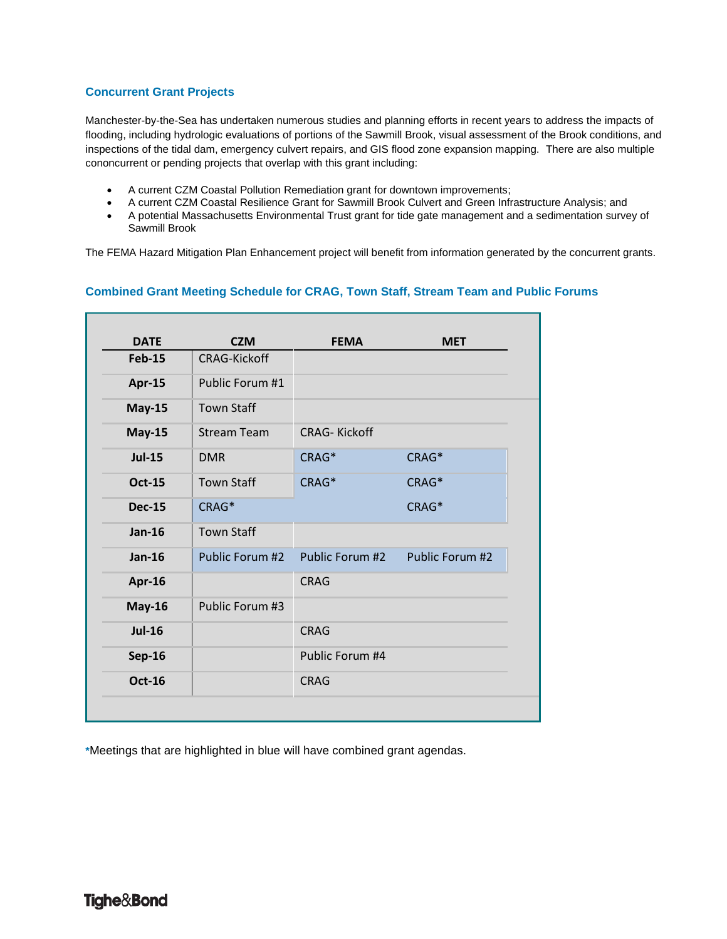#### **Concurrent Grant Projects**

Manchester-by-the-Sea has undertaken numerous studies and planning efforts in recent years to address the impacts of flooding, including hydrologic evaluations of portions of the Sawmill Brook, visual assessment of the Brook conditions, and inspections of the tidal dam, emergency culvert repairs, and GIS flood zone expansion mapping. There are also multiple cononcurrent or pending projects that overlap with this grant including:

- A current CZM Coastal Pollution Remediation grant for downtown improvements;
- A current CZM Coastal Resilience Grant for Sawmill Brook Culvert and Green Infrastructure Analysis; and
- A potential Massachusetts Environmental Trust grant for tide gate management and a sedimentation survey of Sawmill Brook

The FEMA Hazard Mitigation Plan Enhancement project will benefit from information generated by the concurrent grants.

#### **Combined Grant Meeting Schedule for CRAG, Town Staff, Stream Team and Public Forums**

| <b>DATE</b>   | <b>CZM</b>          | <b>FEMA</b>         | <b>MET</b>        |
|---------------|---------------------|---------------------|-------------------|
| <b>Feb-15</b> | <b>CRAG-Kickoff</b> |                     |                   |
| Apr-15        | Public Forum #1     |                     |                   |
| <b>May-15</b> | <b>Town Staff</b>   |                     |                   |
| <b>May-15</b> | <b>Stream Team</b>  | <b>CRAG-Kickoff</b> |                   |
| <b>Jul-15</b> | <b>DMR</b>          | CRAG <sup>*</sup>   | CRAG <sup>*</sup> |
| <b>Oct-15</b> | <b>Town Staff</b>   | CRAG*               | CRAG <sup>*</sup> |
| <b>Dec-15</b> | $CRAG*$             |                     | $CRAG*$           |
| <b>Jan-16</b> | <b>Town Staff</b>   |                     |                   |
| <b>Jan-16</b> | Public Forum #2     | Public Forum #2     | Public Forum #2   |
| Apr-16        |                     | <b>CRAG</b>         |                   |
| <b>May-16</b> | Public Forum #3     |                     |                   |
| <b>Jul-16</b> |                     | <b>CRAG</b>         |                   |
| <b>Sep-16</b> |                     | Public Forum #4     |                   |
| <b>Oct-16</b> |                     | <b>CRAG</b>         |                   |

**\***Meetings that are highlighted in blue will have combined grant agendas.